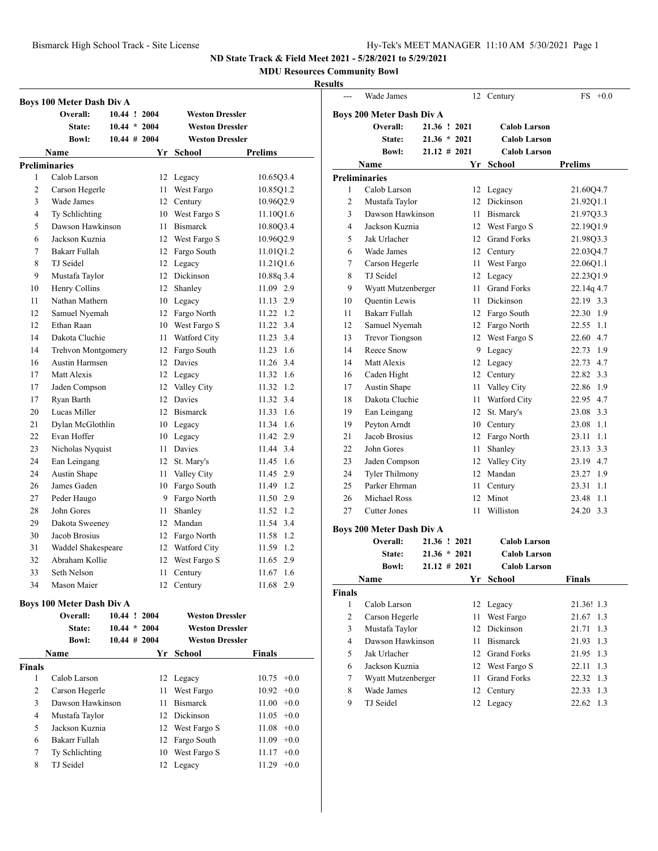#### **MDU Resources Community Bowl**

#### **Results**

|                    | Boys 100 Meter Dash Div A          |                 |      |                         |                              |
|--------------------|------------------------------------|-----------------|------|-------------------------|------------------------------|
|                    | Overall:                           | 10.44 ! 2004    |      | <b>Weston Dressler</b>  |                              |
|                    | State:                             | $10.44 * 2004$  |      | <b>Weston Dressler</b>  |                              |
|                    | <b>Bowl:</b>                       | $10.44 \# 2004$ |      | <b>Weston Dressler</b>  |                              |
|                    | Name                               |                 | Yr   | School                  | <b>Prelims</b>               |
|                    | <b>Preliminaries</b>               |                 |      |                         |                              |
| 1                  | Calob Larson                       |                 |      | 12 Legacy               | 10.65Q3.4                    |
| 2                  | Carson Hegerle                     |                 | 11   | West Fargo              | 10.85Q1.2                    |
| 3                  | Wade James                         |                 |      | 12 Century              | 10.96Q2.9                    |
| 4                  | Ty Schlichting                     |                 |      | 10 West Fargo S         | 11.10Q1.6                    |
| 5                  | Dawson Hawkinson                   |                 |      | 11 Bismarck             | 10.80Q3.4                    |
| 6                  | Jackson Kuznia                     |                 |      | 12 West Fargo S         | 10.96Q2.9                    |
| 7                  | Bakarr Fullah                      |                 |      | 12 Fargo South          | 11.01Q1.2                    |
| 8                  | TJ Seidel                          |                 |      | 12 Legacy               | 11.21Q1.6                    |
| 9                  | Mustafa Taylor                     |                 |      | 12 Dickinson            | 10.88q 3.4                   |
| 10                 | Henry Collins                      |                 |      | 12 Shanley              | 11.09 2.9                    |
| 11                 | Nathan Mathern                     |                 |      | 10 Legacy               | 11.13 2.9                    |
| 12                 | Samuel Nyemah                      |                 |      | 12 Fargo North          | 11.22 1.2                    |
| 12                 | Ethan Raan                         |                 |      | 10 West Fargo S         | 11.22 3.4                    |
| 14                 | Dakota Cluchie                     |                 |      | 11 Watford City         | 11.23 3.4                    |
| 14                 | Trehvon Montgomery                 |                 |      | 12 Fargo South          | 11.23 1.6                    |
| 16                 | <b>Austin Harmsen</b>              |                 |      | 12 Davies               | 11.26 3.4                    |
| 17                 | Matt Alexis                        |                 |      | 12 Legacy               | 11.32 1.6                    |
| 17                 | Jaden Compson                      |                 |      | 12 Valley City          | 11.32 1.2                    |
| 17                 | Ryan Barth                         |                 |      | 12 Davies               | 11.32 3.4                    |
| 20                 | Lucas Miller                       |                 |      | 12 Bismarck             | 11.33 1.6                    |
| 21                 | Dylan McGlothlin                   |                 |      | 10 Legacy               | 11.34 1.6                    |
| 22                 | Evan Hoffer                        |                 |      | 10 Legacy               | 11.42 2.9                    |
| 23                 | Nicholas Nyquist                   |                 |      | 11 Davies               | 11.44 3.4                    |
| 24                 | Ean Leingang                       |                 |      | 12 St. Mary's           | 11.45 1.6                    |
| 24                 | Austin Shape                       |                 |      | 11 Valley City          | 11.45 2.9                    |
| 26                 | James Gaden                        |                 |      | 10 Fargo South          | 11.49 1.2                    |
| 27                 | Peder Haugo                        |                 |      | 9 Fargo North           | 11.50 2.9                    |
| 28                 | John Gores                         |                 | 11 - | Shanley                 | 11.52 1.2                    |
| 29                 | Dakota Sweeney                     |                 |      | 12 Mandan               | 11.54 3.4                    |
| 30                 | Jacob Brosius                      |                 |      | 12 Fargo North          | 11.58 1.2                    |
| 31                 | Waddel Shakespeare                 |                 |      | 12 Watford City         | 11.59 1.2                    |
| 32                 | Abraham Kollie                     |                 |      | 12 West Fargo S         | 11.65 2.9                    |
| 33                 | Seth Nelson                        |                 |      | 11 Century              | 11.67 1.6                    |
| 34                 | Mason Maier                        |                 |      | 12 Century              | 11.68 2.9                    |
|                    |                                    |                 |      |                         |                              |
|                    | Boys 100 Meter Dash Div A          |                 |      |                         |                              |
|                    | Overall:                           | 10.44 ! 2004    |      | <b>Weston Dressler</b>  |                              |
|                    | State:                             | $10.44 * 2004$  |      | <b>Weston Dressler</b>  |                              |
|                    | <b>Bowl:</b>                       | $10.44$ # 2004  |      | <b>Weston Dressler</b>  |                              |
|                    | Name                               |                 |      | Yr School               | <b>Finals</b>                |
| <b>Finals</b><br>1 | Calob Larson                       |                 |      |                         |                              |
| 2                  |                                    |                 | 11 - | 12 Legacy<br>West Fargo | $10.75 +0.0$<br>$10.92 +0.0$ |
| 3                  | Carson Hegerle<br>Dawson Hawkinson |                 | 11 - | <b>Bismarck</b>         | $11.00 + 0.0$                |
| $\overline{4}$     | Mustafa Taylor                     |                 |      | 12 Dickinson            | $11.05 +0.0$                 |

5 Jackson Kuznia 12 West Fargo S 11.08 +0.0 Bakarr Fullah 12 Fargo South 11.09 +0.0 7 Ty Schlichting 10 West Fargo S 11.17 +0.0 TJ Seidel 12 Legacy 11.29 +0.0

|                         | Wade James                |                 | 12               | Century             | $FS +0.0$      |
|-------------------------|---------------------------|-----------------|------------------|---------------------|----------------|
|                         |                           |                 |                  |                     |                |
|                         | Boys 200 Meter Dash Div A |                 |                  |                     |                |
|                         | Overall:                  | 21.36 ! 2021    |                  | <b>Calob Larson</b> |                |
|                         | State:                    | $21.36 * 2021$  |                  | <b>Calob Larson</b> |                |
|                         | <b>Bowl:</b>              | $21.12 \# 2021$ |                  | <b>Calob Larson</b> |                |
|                         | Name                      |                 | Yr               | School              | <b>Prelims</b> |
|                         | Preliminaries             |                 |                  |                     |                |
| 1                       | Calob Larson              |                 | 12               | Legacy              | 21.60Q4.7      |
| 2                       | Mustafa Taylor            |                 | 12 <sup>12</sup> | Dickinson           | 21.92Q1.1      |
| 3                       | Dawson Hawkinson          |                 | 11               | <b>Bismarck</b>     | 21.97Q3.3      |
| 4                       | Jackson Kuznia            |                 |                  | 12 West Fargo S     | 22.19Q1.9      |
| 5                       | Jak Urlacher              |                 |                  | 12 Grand Forks      | 21.98Q3.3      |
| 6                       | Wade James                |                 |                  | 12 Century          | 22.03Q4.7      |
| 7                       | Carson Hegerle            |                 | 11               | West Fargo          | 22.06Q1.1      |
| 8                       | TJ Seidel                 |                 |                  | 12 Legacy           | 22.23Q1.9      |
| 9                       | Wyatt Mutzenberger        |                 |                  | 11 Grand Forks      | 22.14q 4.7     |
| 10                      | Quentin Lewis             |                 |                  | 11 Dickinson        | 22.19 3.3      |
| 11                      | Bakarr Fullah             |                 |                  | 12 Fargo South      | 22.30 1.9      |
| 12                      | Samuel Nyemah             |                 |                  | 12 Fargo North      | 22.55<br>1.1   |
| 13                      | <b>Trevor Tiongson</b>    |                 |                  | 12 West Fargo S     | 22.60 4.7      |
| 14                      | Reece Snow                |                 | 9.               | Legacy              | 22.73 1.9      |
| 14                      | Matt Alexis               |                 | 12               | Legacy              | 22.73 4.7      |
| 16                      | Caden Hight               |                 |                  | 12 Century          | 22.82 3.3      |
| 17                      | <b>Austin Shape</b>       |                 | 11               | Valley City         | 22.86 1.9      |
| 18                      | Dakota Cluchie            |                 |                  | 11 Watford City     | 22.95 4.7      |
| 19                      | Ean Leingang              |                 |                  | 12 St. Mary's       | 23.08<br>3.3   |
| 19                      | Peyton Arndt              |                 |                  | 10 Century          | 1.1<br>23.08   |
| 21                      | Jacob Brosius             |                 |                  | 12 Fargo North      | 1.1<br>23.11   |
| 22                      | John Gores                |                 | 11               | Shanley             | 3.3<br>23.13   |
| 23                      | Jaden Compson             |                 |                  | 12 Valley City      | 23.19 4.7      |
| 24                      | <b>Tyler Thilmony</b>     |                 |                  | 12 Mandan           | 23.27 1.9      |
| 25                      | Parker Ehrman             |                 | 11               | Century             | 23.31<br>1.1   |
| 26                      | Michael Ross              |                 | 12               | Minot               | 1.1<br>23.48   |
| 27                      | <b>Cutter Jones</b>       |                 | 11               | Williston           | 24.20 3.3      |
|                         | Boys 200 Meter Dash Div A |                 |                  |                     |                |
|                         | Overall:                  | 21.36 ! 2021    |                  | <b>Calob Larson</b> |                |
|                         | State:                    | $21.36 * 2021$  |                  | <b>Calob Larson</b> |                |
|                         | <b>Bowl:</b>              | $21.12 \# 2021$ |                  | <b>Calob Larson</b> |                |
|                         | Name                      |                 | Yr               | School              | <b>Finals</b>  |
| Finals                  |                           |                 |                  |                     |                |
| $\mathbf{1}$            | Calob Larson              |                 |                  | 12 Legacy           | 21.36! 1.3     |
| $\overline{c}$          | Carson Hegerle            |                 | 11               | West Fargo          | 21.67 1.3      |
| 3                       | Mustafa Taylor            |                 |                  | 12 Dickinson        | 21.71<br>1.3   |
| $\overline{\mathbf{4}}$ | Dawson Hawkinson          |                 | 11               | Bismarck            | 21.93<br>1.3   |
| 5                       | Jak Urlacher              |                 |                  | 12 Grand Forks      | 21.95<br>1.3   |
| 6                       | Jackson Kuznia            |                 |                  | 12 West Fargo S     | 1.3<br>22.11   |
| 7                       | Wyatt Mutzenberger        |                 | 11               | <b>Grand Forks</b>  | 22.32 1.3      |
| 8                       | Wade James                |                 | 12               | Century             | 22.33<br>1.3   |
| 9                       | TJ Seidel                 |                 | 12               | Legacy              | 22.62<br>1.3   |
|                         |                           |                 |                  |                     |                |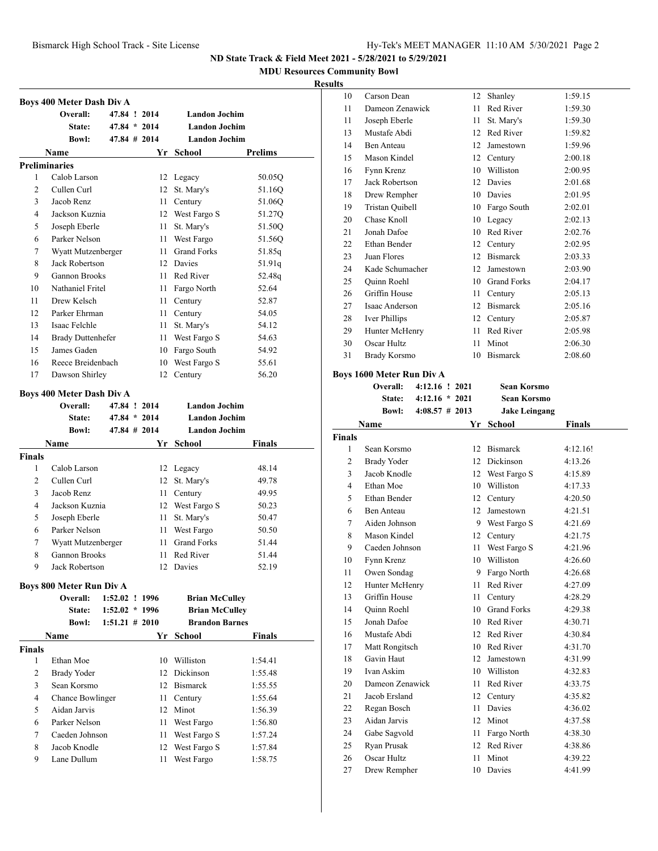**MDU Resources Community Bowl**

#### **Results**

|                | Boys 400 Meter Dash Div A        |                   |      |                       |                |
|----------------|----------------------------------|-------------------|------|-----------------------|----------------|
|                | Overall:                         | 47.84 ! 2014      |      | <b>Landon Jochim</b>  |                |
|                | State:                           | $47.84 * 2014$    |      | <b>Landon Jochim</b>  |                |
|                | <b>Bowl:</b>                     | $47.84 \# 2014$   |      | <b>Landon Jochim</b>  |                |
|                | Name                             |                   | Yr   | School                | <b>Prelims</b> |
|                | <b>Preliminaries</b>             |                   |      |                       |                |
| 1              | Calob Larson                     |                   |      | 12 Legacy             | 50.05Q         |
| $\overline{c}$ | Cullen Curl                      |                   |      | 12 St. Mary's         | 51.16Q         |
| 3              | Jacob Renz                       |                   | 11   | Century               | 51.06Q         |
| $\overline{4}$ | Jackson Kuznia                   |                   |      | 12 West Fargo S       | 51.27Q         |
| 5              | Joseph Eberle                    |                   | 11   | St. Mary's            | 51.50Q         |
| 6              | Parker Nelson                    |                   | 11   | West Fargo            | 51.56Q         |
| 7              | Wyatt Mutzenberger               |                   | 11 - | <b>Grand Forks</b>    | 51.85q         |
| 8              | Jack Robertson                   |                   |      | 12 Davies             | 51.91q         |
| 9              | <b>Gannon Brooks</b>             |                   |      | 11 Red River          | 52.48q         |
| 10             | Nathaniel Fritel                 |                   | 11 - | Fargo North           | 52.64          |
| 11             | Drew Kelsch                      |                   | 11   | Century               | 52.87          |
| 12             | Parker Ehrman                    |                   | 11   | Century               | 54.05          |
| 13             | Isaac Felchle                    |                   | 11   | St. Mary's            | 54.12          |
| 14             | <b>Brady Duttenhefer</b>         |                   | 11 - | West Fargo S          | 54.63          |
| 15             | James Gaden                      |                   |      | 10 Fargo South        | 54.92          |
| 16             | Reece Breidenbach                |                   | 10   | West Fargo S          | 55.61          |
| 17             | Dawson Shirley                   |                   | 12   | Century               | 56.20          |
|                | <b>Boys 400 Meter Dash Div A</b> |                   |      |                       |                |
|                | Overall:                         | 47.84 ! 2014      |      | <b>Landon Jochim</b>  |                |
|                | <b>State:</b>                    | $47.84 * 2014$    |      | <b>Landon Jochim</b>  |                |
|                | <b>Bowl:</b>                     | $47.84 \pm 2014$  |      | <b>Landon Jochim</b>  |                |
|                | Name                             |                   |      | Yr School             | Finals         |
| <b>Finals</b>  |                                  |                   |      |                       |                |
| 1              | Calob Larson                     |                   |      |                       |                |
|                |                                  |                   | 12   | Legacy                | 48.14          |
| $\overline{c}$ | Cullen Curl                      |                   | 12   | St. Mary's            | 49.78          |
| 3              | Jacob Renz                       |                   | 11   | Century               | 49.95          |
| 4              | Jackson Kuznia                   |                   |      | 12 West Fargo S       | 50.23          |
| 5              | Joseph Eberle                    |                   | 11   | St. Mary's            | 50.47          |
| 6              | Parker Nelson                    |                   | 11   | West Fargo            | 50.50          |
| 7              | Wyatt Mutzenberger               |                   | 11 - | <b>Grand Forks</b>    | 51.44          |
| 8              | <b>Gannon Brooks</b>             |                   | 11 - | Red River             | 51.44          |
| 9              | Jack Robertson                   |                   |      | 12 Davies             | 52.19          |
|                | <b>Boys 800 Meter Run Div A</b>  |                   |      |                       |                |
|                | Overall:                         | 1:52.02 ! 1996    |      | <b>Brian McCulley</b> |                |
|                | State:                           | $1:52.02 * 1996$  |      | <b>Brian McCulley</b> |                |
|                | <b>Bowl:</b>                     | $1:51.21 \# 2010$ |      | <b>Brandon Barnes</b> |                |
|                | Name                             |                   |      | Yr School             | Finals         |
| <b>Finals</b>  |                                  |                   |      |                       |                |
| 1              | Ethan Moe                        |                   |      | 10 Williston          | 1:54.41        |
| $\overline{c}$ | <b>Brady Yoder</b>               |                   |      | 12 Dickinson          | 1:55.48        |
| 3              | Sean Korsmo                      |                   |      | 12 Bismarck           | 1:55.55        |
| 4              | Chance Bowlinger                 |                   | 11 - | Century               | 1:55.64        |
| 5              | Aidan Jarvis                     |                   |      | 12 Minot              | 1:56.39        |
| 6              | Parker Nelson                    |                   | 11   | West Fargo            | 1:56.80        |
| 7              | Caeden Johnson                   |                   | 11   | West Fargo S          | 1:57.24        |
| 8              | Jacob Knodle                     |                   | 12   | West Fargo S          | 1:57.84        |
| 9              | Lane Dullum                      |                   | 11   | West Fargo            | 1:58.75        |

| LS |                    |    |                    |         |
|----|--------------------|----|--------------------|---------|
| 10 | Carson Dean        | 12 | Shanley            | 1:59.15 |
| 11 | Dameon Zenawick    | 11 | Red River          | 1:59.30 |
| 11 | Joseph Eberle      | 11 | St. Mary's         | 1:59.30 |
| 13 | Mustafe Abdi       | 12 | Red River          | 1:59.82 |
| 14 | Ben Anteau         | 12 | Jamestown          | 1:59.96 |
| 15 | Mason Kindel       | 12 | Century            | 2:00.18 |
| 16 | Fynn Krenz         | 10 | Williston          | 2:00.95 |
| 17 | Jack Robertson     | 12 | Davies             | 2:01.68 |
| 18 | Drew Rempher       | 10 | Davies             | 2:01.95 |
| 19 | Tristan Quibell    | 10 | Fargo South        | 2:02.01 |
| 20 | Chase Knoll        | 10 | Legacy             | 2:02.13 |
| 21 | Jonah Dafoe        | 10 | Red River          | 2:02.76 |
| 22 | Ethan Bender       | 12 | Century            | 2:02.95 |
| 23 | Juan Flores        | 12 | <b>Bismarck</b>    | 2:03.33 |
| 24 | Kade Schumacher    | 12 | Jamestown          | 2:03.90 |
| 25 | <b>Ouinn Roehl</b> | 10 | <b>Grand Forks</b> | 2:04.17 |
| 26 | Griffin House      | 11 | Century            | 2:05.13 |
| 27 | Isaac Anderson     | 12 | <b>Bismarck</b>    | 2:05.16 |
| 28 | Iver Phillips      | 12 | Century            | 2:05.87 |
| 29 | Hunter McHenry     | 11 | Red River          | 2:05.98 |
| 30 | Oscar Hultz        | 11 | Minot              | 2:06.30 |
| 31 | Brady Korsmo       | 10 | <b>Bismarck</b>    | 2:08.60 |
|    |                    |    |                    |         |

### **Boys 1600 Meter Run Div A**

|                | Overall:           | 4:12.16 ! 2021   | Sean Korsmo          |               |
|----------------|--------------------|------------------|----------------------|---------------|
|                | State:             | $4:12.16 * 2021$ | Sean Korsmo          |               |
|                | <b>Bowl:</b>       | $4:08.57$ # 2013 | <b>Jake Leingang</b> |               |
|                | Name               | Yr               | School               | <b>Finals</b> |
| Finals         |                    |                  |                      |               |
| 1              | Sean Korsmo        | 12               | <b>Bismarck</b>      | 4:12.16!      |
| $\overline{c}$ | <b>Brady Yoder</b> | 12               | Dickinson            | 4:13.26       |
| 3              | Jacob Knodle       | 12               | West Fargo S         | 4:15.89       |
| $\overline{4}$ | Ethan Moe          | 10               | Williston            | 4:17.33       |
| 5              | Ethan Bender       | 12               | Century              | 4:20.50       |
| 6              | <b>Ben Anteau</b>  | 12               | Jamestown            | 4:21.51       |
| 7              | Aiden Johnson      | 9                | West Fargo S         | 4:21.69       |
| 8              | Mason Kindel       | 12               | Century              | 4:21.75       |
| 9              | Caeden Johnson     | 11               | West Fargo S         | 4:21.96       |
| 10             | Fynn Krenz         | 10               | Williston            | 4:26.60       |
| 11             | Owen Sondag        | 9                | Fargo North          | 4:26.68       |
| 12             | Hunter McHenry     | 11               | Red River            | 4:27.09       |
| 13             | Griffin House      | 11               | Century              | 4:28.29       |
| 14             | Quinn Roehl        | 10               | <b>Grand Forks</b>   | 4:29.38       |
| 15             | Jonah Dafoe        |                  | 10 Red River         | 4:30.71       |
| 16             | Mustafe Abdi       | 12               | Red River            | 4:30.84       |
| 17             | Matt Rongitsch     | 10               | Red River            | 4:31.70       |
| 18             | Gavin Haut         | 12               | Jamestown            | 4:31.99       |
| 19             | Ivan Askim         | 10               | Williston            | 4:32.83       |
| 20             | Dameon Zenawick    | 11               | Red River            | 4:33.75       |
| 21             | Jacob Ersland      | 12               | Century              | 4:35.82       |
| 22             | Regan Bosch        | 11               | Davies               | 4:36.02       |
| 23             | Aidan Jarvis       | 12               | Minot                | 4:37.58       |
| 24             | Gabe Sagvold       | 11               | Fargo North          | 4:38.30       |
| 25             | Ryan Prusak        | 12               | Red River            | 4:38.86       |
| 26             | Oscar Hultz        | 11               | Minot                | 4:39.22       |
| 27             | Drew Rempher       | 10               | Davies               | 4:41.99       |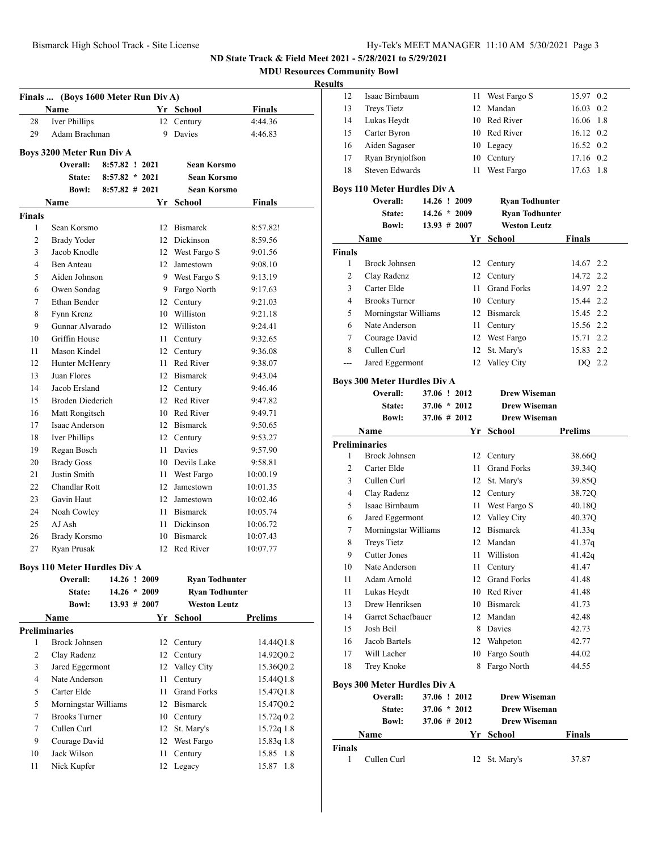**MDU Resources Community Bowl**

#### **Result**

| Finals  (Boys 1600 Meter Run Div A) |                                              |                   |  |                |                       |                |  |
|-------------------------------------|----------------------------------------------|-------------------|--|----------------|-----------------------|----------------|--|
|                                     | Name                                         |                   |  |                | Yr School             | Finals         |  |
| 28                                  | <b>Iver Phillips</b>                         |                   |  |                | 12 Century            | 4:44.36        |  |
| 29                                  | Adam Brachman                                |                   |  | 9              | Davies                | 4:46.83        |  |
|                                     | Boys 3200 Meter Run Div A                    |                   |  |                |                       |                |  |
|                                     | Overall:                                     | 8:57.82 ! 2021    |  |                | Sean Korsmo           |                |  |
|                                     | <b>State:</b>                                | $8:57.82 * 2021$  |  |                | Sean Korsmo           |                |  |
|                                     | Bowl:                                        | $8:57.82 \# 2021$ |  |                | Sean Korsmo           |                |  |
|                                     | Name                                         |                   |  |                | Yr School             | Finals         |  |
| <b>Finals</b>                       |                                              |                   |  |                |                       |                |  |
| 1                                   | Sean Korsmo                                  |                   |  |                | 12 Bismarck           | 8:57.82!       |  |
| $\overline{2}$                      | <b>Brady Yoder</b>                           |                   |  |                | 12 Dickinson          | 8:59.56        |  |
| 3                                   | Jacob Knodle                                 |                   |  |                | 12 West Fargo S       | 9:01.56        |  |
| 4                                   | Ben Anteau                                   |                   |  |                | 12 Jamestown          | 9:08.10        |  |
| 5                                   | Aiden Johnson                                |                   |  |                | 9 West Fargo S        | 9:13.19        |  |
| 6                                   | Owen Sondag                                  |                   |  |                | 9 Fargo North         | 9:17.63        |  |
|                                     | Ethan Bender                                 |                   |  |                |                       | 9:21.03        |  |
| 7                                   |                                              |                   |  |                | 12 Century            |                |  |
| 8                                   | Fynn Krenz<br>Gunnar Alvarado                |                   |  |                | 10 Williston          | 9:21.18        |  |
| 9                                   |                                              |                   |  |                | 12 Williston          | 9:24.41        |  |
| 10                                  | Griffin House                                |                   |  | 11             | Century               | 9:32.65        |  |
| 11                                  | Mason Kindel                                 |                   |  |                | 12 Century            | 9:36.08        |  |
| 12                                  | Hunter McHenry                               |                   |  |                | 11 Red River          | 9:38.07        |  |
| 13                                  | Juan Flores                                  |                   |  |                | 12 Bismarck           | 9:43.04        |  |
| 14                                  | Jacob Ersland                                |                   |  |                | 12 Century            | 9:46.46        |  |
| 15                                  | <b>Broden Diederich</b>                      |                   |  |                | 12 Red River          | 9:47.82        |  |
| 16                                  | Matt Rongitsch                               |                   |  |                | 10 Red River          | 9:49.71        |  |
| 17                                  | Isaac Anderson                               |                   |  |                | 12 Bismarck           | 9:50.65        |  |
| 18                                  | Iver Phillips                                |                   |  |                | 12 Century            | 9:53.27        |  |
| 19                                  | Regan Bosch                                  |                   |  |                | 11 Davies             | 9:57.90        |  |
| 20                                  | <b>Brady Goss</b>                            |                   |  |                | 10 Devils Lake        | 9:58.81        |  |
| 21                                  | Justin Smith                                 |                   |  |                | 11 West Fargo         | 10:00.19       |  |
| 22                                  | Chandlar Rott                                |                   |  |                | 12 Jamestown          | 10:01.35       |  |
| 23                                  | Gavin Haut                                   |                   |  |                | 12 Jamestown          | 10:02.46       |  |
| 24                                  | Noah Cowley                                  |                   |  |                | 11 Bismarck           | 10:05.74       |  |
| 25                                  | AJ Ash                                       |                   |  |                | 11 Dickinson          | 10:06.72       |  |
| 26                                  | Brady Korsmo                                 |                   |  |                | 10 Bismarck           | 10:07.43       |  |
| 27                                  | Ryan Prusak                                  |                   |  |                | 12 Red River          | 10:07.77       |  |
|                                     | <b>Boys 110 Meter Hurdles Div A</b>          |                   |  |                |                       |                |  |
|                                     | Overall:                                     | 14.26 ! 2009      |  |                | <b>Ryan Todhunter</b> |                |  |
|                                     | State:                                       |                   |  | $14.26 * 2009$ | <b>Ryan Todhunter</b> |                |  |
|                                     | <b>Bowl:</b>                                 | $13.93 \# 2007$   |  |                | <b>Weston Leutz</b>   |                |  |
|                                     | Name                                         |                   |  |                | Yr School             | <b>Prelims</b> |  |
|                                     | <b>Preliminaries</b>                         |                   |  |                |                       |                |  |
| 1                                   | Brock Johnsen                                |                   |  | 12             | Century               | 14.44Q1.8      |  |
| 2                                   | Clay Radenz                                  |                   |  | 12             | Century               | 14.92Q0.2      |  |
| 3                                   | Jared Eggermont                              |                   |  | 12             | Valley City           | 15.36Q0.2      |  |
| 4                                   | Nate Anderson                                |                   |  | 11             | Century               | 15.44Q1.8      |  |
| 5                                   | Carter Elde                                  |                   |  | 11             | <b>Grand Forks</b>    | 15.47Q1.8      |  |
| 5                                   |                                              |                   |  |                | 12 Bismarck           | 15.47Q0.2      |  |
| 7                                   | Morningstar Williams<br><b>Brooks Turner</b> |                   |  |                |                       |                |  |
|                                     |                                              |                   |  |                | 10 Century            | 15.72q 0.2     |  |
| 7                                   | Cullen Curl                                  |                   |  | 12             | St. Mary's            | $15.72q$ 1.8   |  |
| 9                                   | Courage David                                |                   |  | 12             | West Fargo            | 15.83q 1.8     |  |
| 10                                  | Jack Wilson                                  |                   |  | 11             | Century               | 15.85 1.8      |  |
| 11                                  | Nick Kupfer                                  |                   |  | 12             | Legacy                | 15.87 1.8      |  |

| ts |                    |    |                 |                   |  |
|----|--------------------|----|-----------------|-------------------|--|
| 12 | Isaac Birnbaum     |    | 11 West Fargo S | 15.97 0.2         |  |
| 13 | <b>Treys Tietz</b> |    | 12 Mandan       | 16.03 0.2         |  |
| 14 | Lukas Heydt        |    | 10 Red River    | 16.06 1.8         |  |
| 15 | Carter Byron       |    | 10 Red River    | $16.12 \quad 0.2$ |  |
| 16 | Aiden Sagaser      |    | 10 Legacy       | 16.52 0.2         |  |
| 17 | Ryan Brynjolfson   |    | 10 Century      | 17.16 0.2         |  |
| 18 | Steven Edwards     | 11 | West Fargo      | 17.63 1.8         |  |
|    |                    |    |                 |                   |  |

# **Boys 110 Meter Hurdles Div A**

|                | Overall:                            |                | 14.26 ! 2009    | <b>Ryan Todhunter</b> |                |
|----------------|-------------------------------------|----------------|-----------------|-----------------------|----------------|
|                | <b>State:</b>                       |                | $14.26 * 2009$  | <b>Ryan Todhunter</b> |                |
|                | <b>Bowl:</b>                        |                | $13.93 \# 2007$ | <b>Weston Leutz</b>   |                |
|                | Name                                |                | Yr              | <b>School</b>         | <b>Finals</b>  |
| <b>Finals</b>  |                                     |                |                 |                       |                |
| 1              | <b>Brock Johnsen</b>                |                |                 | 12 Century            | 14.67 2.2      |
| 2              | Clay Radenz                         |                | 12              | Century               | 14.72<br>2.2   |
| 3              | Carter Elde                         |                | 11              | <b>Grand Forks</b>    | 14.97 2.2      |
| $\overline{4}$ | <b>Brooks Turner</b>                |                |                 | 10 Century            | 15.44 2.2      |
| 5              | Morningstar Williams                |                |                 | 12 Bismarck           | 15.45 2.2      |
| 6              | Nate Anderson                       |                | 11 -            | Century               | 15.56 2.2      |
| 7              | Courage David                       |                |                 | 12 West Fargo         | 2.2<br>15.71   |
| 8              | Cullen Curl                         |                | 12              | St. Mary's            | 15.83 2.2      |
| ---            | Jared Eggermont                     |                |                 | 12 Valley City        | DQ 2.2         |
|                | <b>Boys 300 Meter Hurdles Div A</b> |                |                 |                       |                |
|                | Overall:                            |                | 37.06 ! 2012    | <b>Drew Wiseman</b>   |                |
|                | State:                              | $37.06 * 2012$ |                 | Drew Wiseman          |                |
|                | <b>Bowl:</b>                        | 37.06 # 2012   |                 | <b>Drew Wiseman</b>   |                |
|                | Name                                |                | Yr              | <b>School</b>         | <b>Prelims</b> |
|                | <b>Preliminaries</b>                |                |                 |                       |                |
| 1              | <b>Brock Johnsen</b>                |                |                 | 12 Century            | 38.66Q         |
| $\overline{c}$ | Carter Elde                         |                | 11              | <b>Grand Forks</b>    | 39.34Q         |
| 3              | Cullen Curl                         |                |                 | 12 St. Mary's         | 39.85Q         |
| $\overline{4}$ | Clay Radenz                         |                |                 | 12 Century            | 38.72Q         |
| 5              | Isaac Birnbaum                      |                | 11              | West Fargo S          | 40.18Q         |
| 6              | Jared Eggermont                     |                | 12              | Valley City           | 40.37Q         |
| 7              | Morningstar Williams                |                | 12 <sup>2</sup> | <b>Bismarck</b>       | 41.33q         |
| 8              | <b>Treys Tietz</b>                  |                |                 | 12 Mandan             | 41.37q         |
| 9              | Cutter Jones                        |                |                 | 11 Williston          | 41.42q         |
| 10             | Nate Anderson                       |                | 11              | Century               | 41.47          |
| 11             | Adam Arnold                         |                |                 | 12 Grand Forks        | 41.48          |
| 11             | Lukas Heydt                         |                |                 | 10 Red River          | 41.48          |
| 13             | Drew Henriksen                      |                |                 | 10 Bismarck           | 41.73          |
| 14             | Garret Schaefbauer                  |                | 12              | Mandan                | 42.48          |
| 15             | Josh Beil                           |                | 8               | Davies                | 42.73          |

 Jacob Bartels 12 Wahpeton 42.77 Will Lacher 10 Fargo South 44.02 18 Trey Knoke 8 Fargo North 44.55

**Overall: 37.06 ! 2012 Drew Wiseman State: 37.06 \* 2012 Drew Wiseman Bowl: 37.06 # 2012 Drew Wiseman Name Yr School Finals**

1 Cullen Curl 12 St. Mary's 37.87

**Boys 300 Meter Hurdles Div A**

**Finals**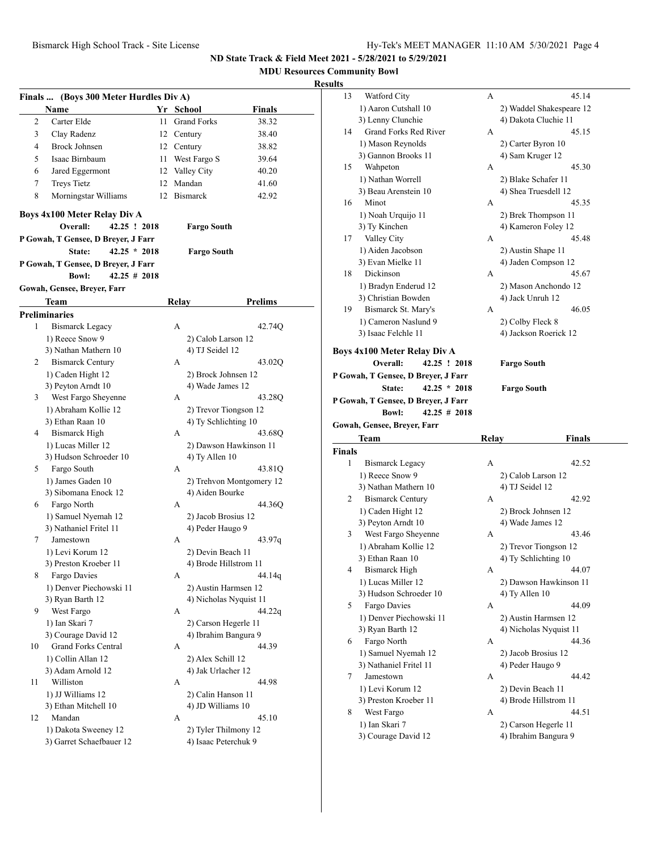**MDU Resources Community Bowl**

# **Results**

|    | Finals  (Boys 300 Meter Hurdles Div A) |    |                    |                          |
|----|----------------------------------------|----|--------------------|--------------------------|
|    | Name                                   |    | Yr School          | <b>Finals</b>            |
| 2  | Carter Elde                            | 11 | <b>Grand Forks</b> | 38.32                    |
| 3  | Clay Radenz                            |    | 12 Century         | 38.40                    |
| 4  | <b>Brock Johnsen</b>                   |    | 12 Century         | 38.82                    |
| 5  | Isaac Birnbaum                         |    | 11 West Fargo S    | 39.64                    |
| 6  | Jared Eggermont                        |    | 12 Valley City     | 40.20                    |
| 7  | <b>Treys Tietz</b>                     |    | 12 Mandan          | 41.60                    |
| 8  | Morningstar Williams                   | 12 | Bismarck           | 42.92                    |
|    |                                        |    |                    |                          |
|    | <b>Boys 4x100 Meter Relay Div A</b>    |    |                    |                          |
|    | Overall:<br>42.25 ! 2018               |    | <b>Fargo South</b> |                          |
|    | P Gowah, T Gensee, D Breyer, J Farr    |    |                    |                          |
|    | $42.25 * 2018$<br>State:               |    | Fargo South        |                          |
|    | P Gowah, T Gensee, D Breyer, J Farr    |    |                    |                          |
|    | <b>Bowl:</b><br>$42.25 \# 2018$        |    |                    |                          |
|    | Gowah, Gensee, Breyer, Farr            |    |                    |                          |
|    | Team                                   |    | Relay              | <b>Prelims</b>           |
|    | <b>Preliminaries</b>                   |    |                    |                          |
| 1  | <b>Bismarck Legacy</b>                 |    | A                  | 42.74Q                   |
|    | 1) Reece Snow 9                        |    | 2) Calob Larson 12 |                          |
|    | 3) Nathan Mathern 10                   |    | 4) TJ Seidel 12    |                          |
| 2  | <b>Bismarck Century</b>                |    | A                  | 43.02Q                   |
|    | 1) Caden Hight 12                      |    |                    | 2) Brock Johnsen 12      |
|    | 3) Peyton Arndt 10                     |    | 4) Wade James 12   |                          |
| 3  | West Fargo Sheyenne                    |    | А                  | 43.28Q                   |
|    | 1) Abraham Kollie 12                   |    |                    | 2) Trevor Tiongson 12    |
|    | 3) Ethan Raan 10                       |    |                    | 4) Ty Schlichting 10     |
| 4  | <b>Bismarck High</b>                   |    | A                  | 43.68Q                   |
|    | 1) Lucas Miller 12                     |    |                    | 2) Dawson Hawkinson 11   |
|    | 3) Hudson Schroeder 10                 |    | 4) Ty Allen 10     |                          |
| 5. | Fargo South                            |    | А                  | 43.81Q                   |
|    | 1) James Gaden 10                      |    |                    | 2) Trehvon Montgomery 12 |
|    | 3) Sibomana Enock 12                   |    | 4) Aiden Bourke    |                          |
| 6  | Fargo North                            |    | A                  | 44.36O                   |
|    | 1) Samuel Nyemah 12                    |    |                    | 2) Jacob Brosius 12      |
|    | 3) Nathaniel Fritel 11                 |    | 4) Peder Haugo 9   |                          |
| 7  | Jamestown                              |    | A                  | 43.97q                   |
|    | 1) Levi Korum 12                       |    | 2) Devin Beach 11  |                          |
|    | 3) Preston Kroeber 11                  |    |                    | 4) Brode Hillstrom 11    |
| 8  | Fargo Davies                           |    | А                  | 44.14q                   |
|    | 1) Denver Piechowski 11                |    |                    | 2) Austin Harmsen 12     |
|    | 3) Ryan Barth 12                       |    |                    | 4) Nicholas Nyquist 11   |
| 9  | West Fargo                             |    | А                  | 44.22g                   |
|    | 1) Ian Skari 7                         |    |                    | 2) Carson Hegerle 11     |
|    | 3) Courage David 12                    |    |                    | 4) Ibrahim Bangura 9     |
| 10 | <b>Grand Forks Central</b>             |    | А                  | 44.39                    |
|    | 1) Collin Allan 12                     |    | 2) Alex Schill 12  |                          |
|    | 3) Adam Arnold 12                      |    | 4) Jak Urlacher 12 |                          |
| 11 | Williston                              |    | А                  | 44.98                    |
|    | 1) JJ Williams 12                      |    | 2) Calin Hanson 11 |                          |
|    | 3) Ethan Mitchell 10                   |    | 4) JD Williams 10  |                          |
| 12 | Mandan                                 |    | А                  | 45.10                    |
|    | 1) Dakota Sweeney 12                   |    |                    | 2) Tyler Thilmony 12     |
|    | 3) Garret Schaefbauer 12               |    |                    | 4) Isaac Peterchuk 9     |
|    |                                        |    |                    |                          |

| ults          |                                     |       |                                       |  |
|---------------|-------------------------------------|-------|---------------------------------------|--|
| 13            | Watford City                        | А     | 45.14                                 |  |
|               | 1) Aaron Cutshall 10                |       | 2) Waddel Shakespeare 12              |  |
|               | 3) Lenny Clunchie                   |       | 4) Dakota Cluchie 11                  |  |
| 14            | <b>Grand Forks Red River</b>        | А     | 45.15                                 |  |
|               | 1) Mason Reynolds                   |       | 2) Carter Byron 10                    |  |
|               | 3) Gannon Brooks 11                 |       | 4) Sam Kruger 12                      |  |
| 15            | Wahpeton                            | А     | 45.30                                 |  |
|               | 1) Nathan Worrell                   |       | 2) Blake Schafer 11                   |  |
|               | 3) Beau Arenstein 10                |       | 4) Shea Truesdell 12                  |  |
| 16            | Minot                               | А     | 45.35                                 |  |
|               | 1) Noah Urquijo 11                  |       | 2) Brek Thompson 11                   |  |
|               | 3) Ty Kinchen                       |       | 4) Kameron Foley 12                   |  |
| 17            | Valley City                         | А     | 45.48                                 |  |
|               | 1) Aiden Jacobson                   |       | 2) Austin Shape 11                    |  |
|               | 3) Evan Mielke 11                   |       | 4) Jaden Compson 12                   |  |
| 18            | Dickinson                           | А     | 45.67                                 |  |
|               | 1) Bradyn Enderud 12                |       | 2) Mason Anchondo 12                  |  |
|               | 3) Christian Bowden                 |       | 4) Jack Unruh 12                      |  |
| 19            | Bismarck St. Mary's                 | А     | 46.05                                 |  |
|               | 1) Cameron Naslund 9                |       | 2) Colby Fleck 8                      |  |
|               | 3) Isaac Felchle 11                 |       | 4) Jackson Roerick 12                 |  |
|               | Boys 4x100 Meter Relay Div A        |       |                                       |  |
|               | 42.25 ! 2018<br>Overall:            |       | <b>Fargo South</b>                    |  |
|               | P Gowah, T Gensee, D Breyer, J Farr |       |                                       |  |
|               | $42.25 * 2018$<br>State:            |       | <b>Fargo South</b>                    |  |
|               | P Gowah, T Gensee, D Breyer, J Farr |       |                                       |  |
|               |                                     |       |                                       |  |
|               | $42.25 \# 2018$<br><b>Bowl:</b>     |       |                                       |  |
|               |                                     |       |                                       |  |
|               | Gowah, Gensee, Breyer, Farr         |       |                                       |  |
| <b>Finals</b> | Team                                | Relay | <b>Finals</b>                         |  |
| 1             | Bismarck Legacy                     | A     | 42.52                                 |  |
|               | 1) Reece Snow 9                     |       |                                       |  |
|               | 3) Nathan Mathern 10                |       | 2) Calob Larson 12<br>4) TJ Seidel 12 |  |
| 2             | <b>Bismarck Century</b>             | А     | 42.92                                 |  |
|               | 1) Caden Hight 12                   |       | 2) Brock Johnsen 12                   |  |
|               | 3) Peyton Arndt 10                  |       | 4) Wade James 12                      |  |
| 3             | West Fargo Sheyenne                 | А     | 43.46                                 |  |
|               | 1) Abraham Kollie 12                |       | 2) Trevor Tiongson 12                 |  |
|               | 3) Ethan Raan 10                    |       |                                       |  |
| 4             | Bismarck High                       | A     | 4) Ty Schlichting 10<br>44.07         |  |
|               | 1) Lucas Miller 12                  |       | 2) Dawson Hawkinson 11                |  |
|               | 3) Hudson Schroeder 10              |       | 4) Ty Allen 10                        |  |
| 5             | Fargo Davies                        | А     | 44.09                                 |  |
|               | 1) Denver Piechowski 11             |       | 2) Austin Harmsen 12                  |  |
|               | 3) Ryan Barth 12                    |       | 4) Nicholas Nyquist 11                |  |
| 6             | Fargo North                         | А     | 44.36                                 |  |
|               | 1) Samuel Nyemah 12                 |       | 2) Jacob Brosius 12                   |  |
|               | 3) Nathaniel Fritel 11              |       | 4) Peder Haugo 9                      |  |
| 7             | Jamestown                           | А     | 44.42                                 |  |
|               | 1) Levi Korum 12                    |       | 2) Devin Beach 11                     |  |
|               | 3) Preston Kroeber 11               |       | 4) Brode Hillstrom 11                 |  |
| 8             | West Fargo                          | А     | 44.51                                 |  |
|               | 1) Ian Skari 7                      |       | 2) Carson Hegerle 11                  |  |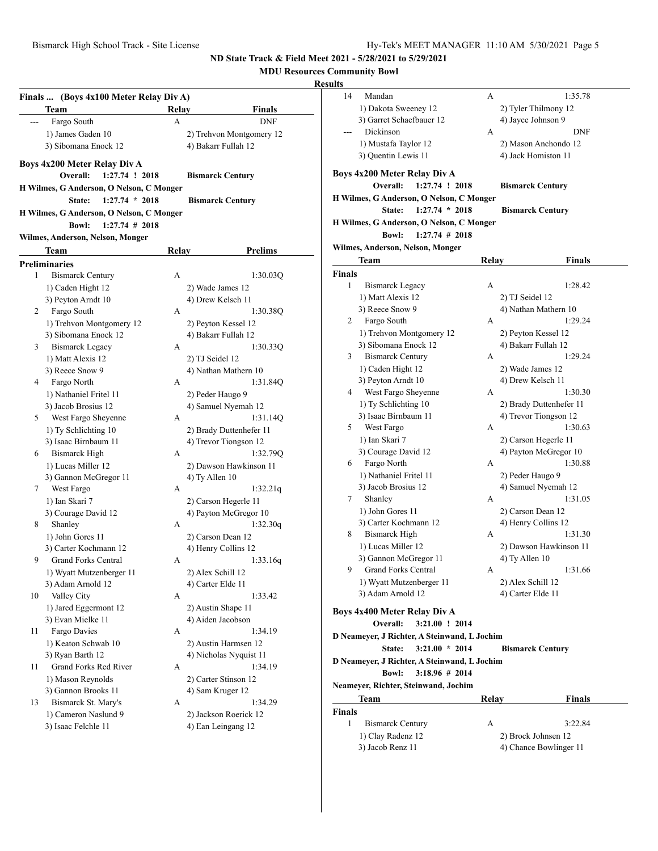# **MDU Resources Community Bowl**

# **Results**

|       | Finals  (Boys 4x100 Meter Relay Div A)   |       |                          |
|-------|------------------------------------------|-------|--------------------------|
|       | Team                                     | Relay | Finals                   |
| $---$ | Fargo South                              | A     | <b>DNF</b>               |
|       | 1) James Gaden 10                        |       | 2) Trehvon Montgomery 12 |
|       | 3) Sibomana Enock 12                     |       | 4) Bakarr Fullah 12      |
|       |                                          |       |                          |
|       | Boys 4x200 Meter Relay Div A             |       |                          |
|       | 1:27.74 ! 2018<br>Overall:               |       | <b>Bismarck Century</b>  |
|       | H Wilmes, G Anderson, O Nelson, C Monger |       |                          |
|       | $1:27.74 * 2018$<br>State:               |       | <b>Bismarck Century</b>  |
|       | H Wilmes, G Anderson, O Nelson, C Monger |       |                          |
|       | <b>Bowl:</b><br>$1:27.74$ # 2018         |       |                          |
|       | Wilmes, Anderson, Nelson, Monger         |       |                          |
|       | Team                                     | Relay | Prelims                  |
|       | <b>Preliminaries</b>                     |       |                          |
| 1     | <b>Bismarck Century</b>                  | А     | 1:30.03Q                 |
|       | 1) Caden Hight 12                        |       | 2) Wade James 12         |
|       | 3) Peyton Arndt 10                       |       | 4) Drew Kelsch 11        |
| 2     | Fargo South                              | А     | 1:30.38Q                 |
|       | 1) Trehvon Montgomery 12                 |       | 2) Peyton Kessel 12      |
|       | 3) Sibomana Enock 12                     |       | 4) Bakarr Fullah 12      |
| 3     | <b>Bismarck Legacy</b>                   | A     | 1:30.33Q                 |
|       | 1) Matt Alexis 12                        |       | 2) TJ Seidel 12          |
|       | 3) Reece Snow 9                          |       | 4) Nathan Mathern 10     |
| 4     | Fargo North                              | А     | 1:31.84Q                 |
|       | 1) Nathaniel Fritel 11                   |       | 2) Peder Haugo 9         |
|       | 3) Jacob Brosius 12                      |       | 4) Samuel Nyemah 12      |
| 5     | West Fargo Sheyenne                      | А     | 1:31.14Q                 |
|       | 1) Ty Schlichting 10                     |       | 2) Brady Duttenhefer 11  |
|       | 3) Isaac Birnbaum 11                     |       | 4) Trevor Tiongson 12    |
| 6     | Bismarck High                            | А     | 1:32.79Q                 |
|       | 1) Lucas Miller 12                       |       | 2) Dawson Hawkinson 11   |
|       | 3) Gannon McGregor 11                    |       | 4) Ty Allen 10           |
| 7     | West Fargo                               | A     | 1:32.21q                 |
|       | 1) Ian Skari 7                           |       | 2) Carson Hegerle 11     |
|       | 3) Courage David 12                      |       | 4) Payton McGregor 10    |
| 8     | Shanley                                  | А     | 1:32.30q                 |
|       | 1) John Gores 11                         |       | 2) Carson Dean 12        |
|       | 3) Carter Kochmann 12                    |       | 4) Henry Collins 12      |
| 9     | <b>Grand Forks Central</b>               | А     | 1:33.16q                 |
|       | 1) Wyatt Mutzenberger 11                 |       | 2) Alex Schill 12        |
|       | 3) Adam Arnold 12                        |       | 4) Carter Elde 11        |
| 10    | Valley City                              | А     | 1:33.42                  |
|       | 1) Jared Eggermont 12                    |       | 2) Austin Shape 11       |
|       | 3) Evan Mielke 11                        |       | 4) Aiden Jacobson        |
| 11    | Fargo Davies                             | А     | 1:34.19                  |
|       | 1) Keaton Schwab 10                      |       | 2) Austin Harmsen 12     |
|       | 3) Ryan Barth 12                         |       | 4) Nicholas Nyquist 11   |
| 11    | Grand Forks Red River                    | А     | 1:34.19                  |
|       | 1) Mason Reynolds                        |       | 2) Carter Stinson 12     |
|       | 3) Gannon Brooks 11                      |       | 4) Sam Kruger 12         |
| 13    | Bismarck St. Mary's                      | A     | 1:34.29                  |
|       | 1) Cameron Naslund 9                     |       | 2) Jackson Roerick 12    |
|       | 3) Isaac Felchle 11                      |       | 4) Ean Leingang 12       |

| 14     | Mandan                                       | А     | 1:35.78                 |
|--------|----------------------------------------------|-------|-------------------------|
|        | 1) Dakota Sweeney 12                         |       | 2) Tyler Thilmony 12    |
|        | 3) Garret Schaefbauer 12                     |       | 4) Jayce Johnson 9      |
| ---    | Dickinson                                    | A     | <b>DNF</b>              |
|        | 1) Mustafa Taylor 12                         |       | 2) Mason Anchondo 12    |
|        | 3) Quentin Lewis 11                          |       | 4) Jack Homiston 11     |
|        |                                              |       |                         |
|        | Boys 4x200 Meter Relay Div A                 |       |                         |
|        | Overall:<br>1:27.74 ! 2018                   |       | <b>Bismarck Century</b> |
|        | H Wilmes, G Anderson, O Nelson, C Monger     |       |                         |
|        | $1:27.74 * 2018$<br>State:                   |       | <b>Bismarck Century</b> |
|        | H Wilmes, G Anderson, O Nelson, C Monger     |       |                         |
|        | <b>Bowl:</b><br>$1:27.74$ # 2018             |       |                         |
|        | Wilmes, Anderson, Nelson, Monger             |       |                         |
|        | Team                                         | Relay | Finals                  |
| Finals |                                              |       |                         |
| 1      | Bismarck Legacy                              | А     | 1:28.42                 |
|        | 1) Matt Alexis 12                            |       | 2) TJ Seidel 12         |
|        | 3) Reece Snow 9                              |       | 4) Nathan Mathern 10    |
| 2      | Fargo South                                  | А     | 1:29.24                 |
|        | 1) Trehvon Montgomery 12                     |       | 2) Peyton Kessel 12     |
|        | 3) Sibomana Enock 12                         |       | 4) Bakarr Fullah 12     |
| 3      | <b>Bismarck Century</b>                      | А     | 1:29.24                 |
|        | 1) Caden Hight 12                            |       | 2) Wade James 12        |
|        | 3) Peyton Arndt 10                           |       | 4) Drew Kelsch 11       |
| 4      | West Fargo Sheyenne                          | A     | 1:30.30                 |
|        | 1) Ty Schlichting 10                         |       | 2) Brady Duttenhefer 11 |
|        | 3) Isaac Birnbaum 11                         |       | 4) Trevor Tiongson 12   |
| 5      | West Fargo                                   | А     | 1:30.63                 |
|        | 1) Ian Skari 7                               |       | 2) Carson Hegerle 11    |
|        | 3) Courage David 12                          |       | 4) Payton McGregor 10   |
| 6      | Fargo North                                  | А     | 1:30.88                 |
|        | 1) Nathaniel Fritel 11                       |       | 2) Peder Haugo 9        |
|        | 3) Jacob Brosius 12                          |       | 4) Samuel Nyemah 12     |
| 7      | Shanley                                      | А     | 1:31.05                 |
|        | 1) John Gores 11                             |       | 2) Carson Dean 12       |
|        | 3) Carter Kochmann 12                        |       | 4) Henry Collins 12     |
| 8      | Bismarck High                                | A     | 1:31.30                 |
|        | 1) Lucas Miller 12                           |       | 2) Dawson Hawkinson 11  |
|        | 3) Gannon McGregor 11                        |       | 4) Ty Allen 10          |
| 9      | <b>Grand Forks Central</b>                   | А     | 1:31.66                 |
|        | 1) Wyatt Mutzenberger 11                     |       | 2) Alex Schill 12       |
|        | 3) Adam Arnold 12                            |       | 4) Carter Elde 11       |
|        |                                              |       |                         |
|        | Boys 4x400 Meter Relay Div A                 |       |                         |
|        | 3:21.00 ! 2014<br>Overall:                   |       |                         |
|        | D Neameyer, J Richter, A Steinwand, L Jochim |       |                         |
|        | $3:21.00 * 2014$<br>State:                   |       | <b>Bismarck Century</b> |
|        | D Neameyer, J Richter, A Steinwand, L Jochim |       |                         |
|        | $3:18.96 \# 2014$<br><b>Bowl:</b>            |       |                         |
|        | Neameyer, Richter, Steinwand, Jochim         |       |                         |
|        | Team                                         | Relay | Finals                  |
| Finals |                                              |       |                         |
| 1      | <b>Bismarck Century</b>                      | А     | 3:22.84                 |
|        | 1) Clay Radenz 12                            |       | 2) Brock Johnsen 12     |
|        | 3) Jacob Renz 11                             |       | 4) Chance Bowlinger 11  |
|        |                                              |       |                         |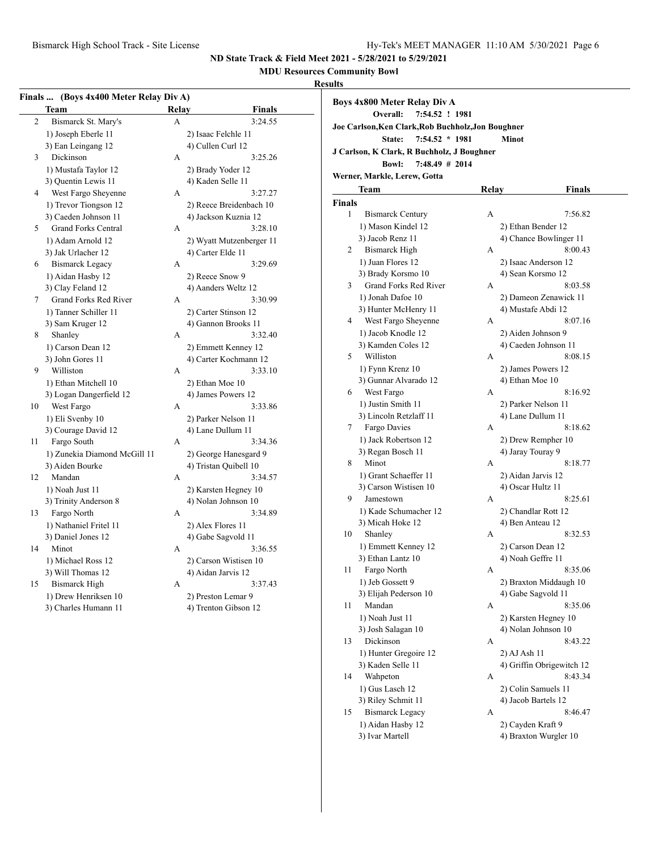**MDU Resources Community Bowl**

# **Results**

|                | Team                         | Relay | <b>Finals</b>            |
|----------------|------------------------------|-------|--------------------------|
| $\overline{c}$ | Bismarck St. Mary's          | A     | 3:24.55                  |
|                | 1) Joseph Eberle 11          |       | 2) Isaac Felchle 11      |
|                | 3) Ean Leingang 12           |       | 4) Cullen Curl 12        |
| 3              | Dickinson                    | A     | 3:25.26                  |
|                | 1) Mustafa Taylor 12         |       | 2) Brady Yoder 12        |
|                | 3) Quentin Lewis 11          |       | 4) Kaden Selle 11        |
| $\overline{4}$ | West Fargo Sheyenne          | A     | 3:27.27                  |
|                | 1) Trevor Tiongson 12        |       | 2) Reece Breidenbach 10  |
|                | 3) Caeden Johnson 11         |       | 4) Jackson Kuznia 12     |
| 5              | <b>Grand Forks Central</b>   | А     | 3:28.10                  |
|                | 1) Adam Arnold 12            |       | 2) Wyatt Mutzenberger 11 |
|                | 3) Jak Urlacher 12           |       | 4) Carter Elde 11        |
| 6              | <b>Bismarck Legacy</b>       | A     | 3:29.69                  |
|                | 1) Aidan Hasby 12            |       | 2) Reece Snow 9          |
|                | 3) Clay Feland 12            |       | 4) Aanders Weltz 12      |
| 7              | Grand Forks Red River        | A     | 3:30.99                  |
|                | 1) Tanner Schiller 11        |       | 2) Carter Stinson 12     |
|                | 3) Sam Kruger 12             |       | 4) Gannon Brooks 11      |
| 8              | Shanley                      | A     | 3:32.40                  |
|                | 1) Carson Dean 12            |       | 2) Emmett Kenney 12      |
|                | 3) John Gores 11             |       | 4) Carter Kochmann 12    |
| 9              | Williston                    | A     | 3:33.10                  |
|                | 1) Ethan Mitchell 10         |       | 2) Ethan Moe 10          |
|                | 3) Logan Dangerfield 12      |       | 4) James Powers 12       |
| 10             | West Fargo                   | A     | 3:33.86                  |
|                | 1) Eli Svenby 10             |       | 2) Parker Nelson 11      |
|                | 3) Courage David 12          |       | 4) Lane Dullum 11        |
| 11             | Fargo South                  | А     | 3:34.36                  |
|                | 1) Zunekia Diamond McGill 11 |       | 2) George Hanesgard 9    |
|                | 3) Aiden Bourke              |       | 4) Tristan Quibell 10    |
| 12             | Mandan                       | A     | 3:34.57                  |
|                | 1) Noah Just 11              |       | 2) Karsten Hegney 10     |
|                | 3) Trinity Anderson 8        |       | 4) Nolan Johnson 10      |
| 13             | Fargo North                  | A     | 3:34.89                  |
|                | 1) Nathaniel Fritel 11       |       | 2) Alex Flores 11        |
|                | 3) Daniel Jones 12           |       | 4) Gabe Sagvold 11       |
| 14             | Minot                        | A     | 3:36.55                  |
|                | 1) Michael Ross 12           |       | 2) Carson Wistisen 10    |
|                | 3) Will Thomas 12            |       | 4) Aidan Jarvis 12       |
| 15             | <b>Bismarck High</b>         | A     | 3:37.43                  |
|                | 1) Drew Henriksen 10         |       | 2) Preston Lemar 9       |
|                | 3) Charles Humann 11         |       | 4) Trenton Gibson 12     |

|                                                    | Boys 4x800 Meter Relay Div A |       |                           |  |  |  |  |  |
|----------------------------------------------------|------------------------------|-------|---------------------------|--|--|--|--|--|
|                                                    | Overall:<br>7:54.52 ! 1981   |       |                           |  |  |  |  |  |
| Joe Carlson, Ken Clark, Rob Buchholz, Jon Boughner |                              |       |                           |  |  |  |  |  |
| $7:54.52 * 1981$<br>Minot<br>State:                |                              |       |                           |  |  |  |  |  |
| J Carlson, K Clark, R Buchholz, J Boughner         |                              |       |                           |  |  |  |  |  |
| <b>Bowl:</b><br>$7:48.49$ # 2014                   |                              |       |                           |  |  |  |  |  |
|                                                    | Werner, Markle, Lerew, Gotta |       |                           |  |  |  |  |  |
|                                                    | Team                         | Relay | Finals                    |  |  |  |  |  |
| Finals                                             |                              |       |                           |  |  |  |  |  |
| 1                                                  | <b>Bismarck Century</b>      | А     | 7:56.82                   |  |  |  |  |  |
|                                                    | 1) Mason Kindel 12           |       | 2) Ethan Bender 12        |  |  |  |  |  |
|                                                    | 3) Jacob Renz 11             |       | 4) Chance Bowlinger 11    |  |  |  |  |  |
| 2                                                  | <b>Bismarck High</b>         | А     | 8:00.43                   |  |  |  |  |  |
|                                                    | 1) Juan Flores 12            |       | 2) Isaac Anderson 12      |  |  |  |  |  |
|                                                    | 3) Brady Korsmo 10           |       | 4) Sean Korsmo 12         |  |  |  |  |  |
| 3                                                  | Grand Forks Red River        | А     | 8:03.58                   |  |  |  |  |  |
|                                                    | 1) Jonah Dafoe 10            |       | 2) Dameon Zenawick 11     |  |  |  |  |  |
|                                                    | 3) Hunter McHenry 11         |       | 4) Mustafe Abdi 12        |  |  |  |  |  |
| 4                                                  | West Fargo Sheyenne          | А     | 8:07.16                   |  |  |  |  |  |
|                                                    | 1) Jacob Knodle 12           |       | 2) Aiden Johnson 9        |  |  |  |  |  |
|                                                    | 3) Kamden Coles 12           |       | 4) Caeden Johnson 11      |  |  |  |  |  |
| 5                                                  | Williston                    | А     | 8:08.15                   |  |  |  |  |  |
|                                                    | 1) Fynn Krenz 10             |       | 2) James Powers 12        |  |  |  |  |  |
|                                                    | 3) Gunnar Alvarado 12        |       | 4) Ethan Moe 10           |  |  |  |  |  |
| 6                                                  | West Fargo                   | А     | 8:16.92                   |  |  |  |  |  |
|                                                    | 1) Justin Smith 11           |       | 2) Parker Nelson 11       |  |  |  |  |  |
|                                                    | 3) Lincoln Retzlaff 11       |       | 4) Lane Dullum 11         |  |  |  |  |  |
| 7                                                  | Fargo Davies                 | A     | 8:18.62                   |  |  |  |  |  |
|                                                    | 1) Jack Robertson 12         |       | 2) Drew Rempher 10        |  |  |  |  |  |
|                                                    | 3) Regan Bosch 11            |       | 4) Jaray Touray 9         |  |  |  |  |  |
| 8                                                  | Minot                        | А     | 8:18.77                   |  |  |  |  |  |
|                                                    | 1) Grant Schaeffer 11        |       | 2) Aidan Jarvis 12        |  |  |  |  |  |
|                                                    | 3) Carson Wistisen 10        |       | 4) Oscar Hultz 11         |  |  |  |  |  |
| 9                                                  | Jamestown                    | А     | 8:25.61                   |  |  |  |  |  |
|                                                    | 1) Kade Schumacher 12        |       | 2) Chandlar Rott 12       |  |  |  |  |  |
|                                                    | 3) Micah Hoke 12             |       | 4) Ben Anteau 12          |  |  |  |  |  |
| 10                                                 | Shanley                      | A     | 8:32.53                   |  |  |  |  |  |
|                                                    | 1) Emmett Kenney 12          |       | 2) Carson Dean 12         |  |  |  |  |  |
|                                                    | 3) Ethan Lantz 10            |       | 4) Noah Geffre 11         |  |  |  |  |  |
| 11                                                 | Fargo North                  | А     | 8:35.06                   |  |  |  |  |  |
|                                                    | 1) Jeb Gossett 9             |       | 2) Braxton Middaugh 10    |  |  |  |  |  |
|                                                    | 3) Elijah Pederson 10        |       | 4) Gabe Sagvold 11        |  |  |  |  |  |
| 11                                                 | Mandan                       | А     | 8:35.06                   |  |  |  |  |  |
|                                                    | 1) Noah Just 11              |       | 2) Karsten Hegney 10      |  |  |  |  |  |
|                                                    | 3) Josh Salagan 10           |       | 4) Nolan Johnson 10       |  |  |  |  |  |
| 13                                                 | Dickinson                    | А     | 8:43.22                   |  |  |  |  |  |
|                                                    | 1) Hunter Gregoire 12        |       | 2) AJ Ash 11              |  |  |  |  |  |
|                                                    | 3) Kaden Selle 11            |       | 4) Griffin Obrigewitch 12 |  |  |  |  |  |
| 14                                                 | Wahpeton                     | А     | 8:43.34                   |  |  |  |  |  |
|                                                    | 1) Gus Lasch 12              |       | 2) Colin Samuels 11       |  |  |  |  |  |
|                                                    | 3) Riley Schmit 11           |       | 4) Jacob Bartels 12       |  |  |  |  |  |
| 15                                                 | <b>Bismarck Legacy</b>       | А     | 8:46.47                   |  |  |  |  |  |
|                                                    | 1) Aidan Hasby 12            |       | 2) Cayden Kraft 9         |  |  |  |  |  |
|                                                    | 3) Ivar Martell              |       | 4) Braxton Wurgler 10     |  |  |  |  |  |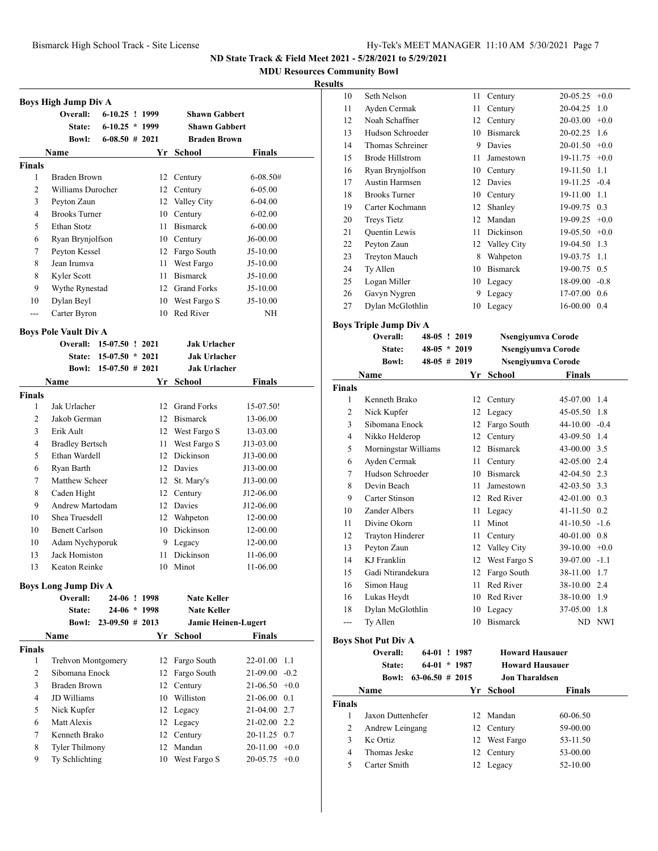**MDU Resources Community Bowl**

#### **Results**

|               | <b>Boys High Jump Div A</b>              |                    |      |                           |                                       |
|---------------|------------------------------------------|--------------------|------|---------------------------|---------------------------------------|
|               | Overall:                                 | $6-10.25$ ! 1999   |      | <b>Shawn Gabbert</b>      |                                       |
|               | <b>State:</b>                            | $6-10.25 * 1999$   |      | <b>Shawn Gabbert</b>      |                                       |
|               | <b>Bowl:</b>                             | $6-08.50$ # 2021   |      | <b>Braden Brown</b>       |                                       |
|               | Name                                     |                    |      | Yr School                 | Finals                                |
| Finals        |                                          |                    |      |                           |                                       |
| 1             | Braden Brown                             |                    | 12   | Century                   | 6-08.50#                              |
| 2             | Williams Durocher                        |                    | 12   | Century                   | 6-05.00                               |
| 3             | Peyton Zaun                              |                    |      | 12 Valley City            | 6-04.00                               |
| 4             | <b>Brooks Turner</b>                     |                    |      | 10 Century                | 6-02.00                               |
| 5             | Ethan Stotz                              |                    | 11.  | <b>Bismarck</b>           | $6 - 00.00$                           |
| 6             | Ryan Brynjolfson                         |                    |      | 10 Century                | J6-00.00                              |
| 7             | Peyton Kessel                            |                    |      | 12 Fargo South            | J5-10.00                              |
| 8             | Jean Irumva                              |                    |      | 11 West Fargo             | $J5-10.00$                            |
| 8             | Kyler Scott                              |                    |      | 11 Bismarck               | J5-10.00                              |
| 9             | Wythe Rynestad                           |                    |      | 12 Grand Forks            | J5-10.00                              |
| 10            | Dylan Beyl                               |                    |      | 10 West Fargo S           | J5-10.00                              |
| $---$         | Carter Byron                             |                    | 10   | Red River                 | NH                                    |
|               |                                          |                    |      |                           |                                       |
|               | <b>Boys Pole Vault Div A</b><br>Overall: | $15-07.50$ ! 2021  |      | <b>Jak Urlacher</b>       |                                       |
|               | <b>State:</b>                            | $15-07.50 * 2021$  |      | <b>Jak Urlacher</b>       |                                       |
|               | <b>Bowl:</b>                             | $15-07.50$ # 2021  |      | <b>Jak Urlacher</b>       |                                       |
|               | Name                                     |                    | Yr   | School                    | Finals                                |
| <b>Finals</b> |                                          |                    |      |                           |                                       |
| 1             | Jak Urlacher                             |                    |      | 12 Grand Forks            | 15-07.50!                             |
| 2             | Jakob German                             |                    |      | 12 Bismarck               | 13-06.00                              |
| 3             | Erik Ault                                |                    |      | 12 West Fargo S           | 13-03.00                              |
| 4             | <b>Bradley Bertsch</b>                   |                    |      | 11 West Fargo S           | J13-03.00                             |
| 5             | Ethan Wardell                            |                    |      | 12 Dickinson              | J13-00.00                             |
| 6             | Ryan Barth                               |                    |      | 12 Davies                 | J13-00.00                             |
| 7             | Matthew Scheer                           |                    |      | 12 St. Mary's             | J13-00.00                             |
| 8             | Caden Hight                              |                    |      | 12 Century                | J12-06.00                             |
| 9             | Andrew Martodam                          |                    |      | 12 Davies                 | J12-06.00                             |
| 10            | Shea Truesdell                           |                    |      | 12 Wahpeton               | 12-00.00                              |
| 10            | <b>Benett Carlson</b>                    |                    |      | 10 Dickinson              | 12-00.00                              |
| 10            | Adam Nychyporuk                          |                    |      | 9 Legacy                  | 12-00.00                              |
| 13            | Jack Homiston                            |                    | 11 - | Dickinson                 | 11-06.00                              |
| 13            | Keaton Reinke                            |                    |      | 10 Minot                  | 11-06.00                              |
|               |                                          |                    |      |                           |                                       |
|               | <b>Boys Long Jump Div A</b>              |                    |      |                           |                                       |
|               | Overall:                                 | 24-06 ! 1998       |      | <b>Nate Keller</b>        |                                       |
|               | <b>State:</b>                            | 24-06 * 1998       |      | <b>Nate Keller</b>        |                                       |
|               | <b>Bowl:</b>                             | $23-09.50 \# 2013$ |      |                           | Jamie Heinen-Lugert                   |
|               | Name                                     |                    |      | Yr School                 | Finals                                |
| <b>Finals</b> |                                          |                    |      |                           | 1.1                                   |
| 1             | Trehvon Montgomery                       |                    | 12   | Fargo South               | 22-01.00                              |
| 2<br>3        | Sibomana Enock                           |                    | 12   | Fargo South               | $-0.2$<br>21-09.00                    |
|               | <b>Braden Brown</b><br>JD Williams       |                    | 12   | Century                   | $21-06.50 +0.0$                       |
|               |                                          |                    |      | 10 Williston              | 21-06.00 0.1<br>21-04.00 2.7          |
| 4             |                                          |                    |      |                           |                                       |
| 5             | Nick Kupfer                              |                    |      | 12 Legacy                 |                                       |
| 6             | Matt Alexis                              |                    |      | 12 Legacy                 | 21-02.00 2.2                          |
| 7             | Kenneth Brako                            |                    |      | 12 Century                | 20-11.25 0.7                          |
| 8<br>9        | <b>Tyler Thilmony</b><br>Ty Schlichting  |                    | 12   | Mandan<br>10 West Fargo S | $20-11.00 +0.0$<br>20-05.75<br>$+0.0$ |

| э  |                        |    |                 |                 |     |
|----|------------------------|----|-----------------|-----------------|-----|
| 10 | Seth Nelson            | 11 | Century         | $20-05.25$ +0.0 |     |
| 11 | Ayden Cermak           | 11 | Century         | 20-04.25 1.0    |     |
| 12 | Noah Schaffner         | 12 | Century         | $20-03.00 +0.0$ |     |
| 13 | Hudson Schroeder       | 10 | <b>Bismarck</b> | 20-02.25 1.6    |     |
| 14 | Thomas Schreiner       | 9  | Davies          | $20-01.50 +0.0$ |     |
| 15 | <b>Brode Hillstrom</b> | 11 | Jamestown       | $19-11.75$ +0.0 |     |
| 16 | Ryan Brynjolfson       | 10 | Century         | 19-11.50 1.1    |     |
| 17 | Austin Harmsen         | 12 | Davies          | 19-11.25 -0.4   |     |
| 18 | <b>Brooks Turner</b>   | 10 | Century         | 19-11.00 1.1    |     |
| 19 | Carter Kochmann        | 12 | Shanley         | 19-09.75 0.3    |     |
| 20 | <b>Treys Tietz</b>     | 12 | Mandan          | $19-09.25 +0.0$ |     |
| 21 | Quentin Lewis          | 11 | Dickinson       | $19-05.50 +0.0$ |     |
| 22 | Peyton Zaun            | 12 | Valley City     | 19-04.50 1.3    |     |
| 23 | <b>Treyton Mauch</b>   | 8  | Wahpeton        | 19-03.75        | 1.1 |
| 24 | Ty Allen               | 10 | <b>Bismarck</b> | 19-00.75 0.5    |     |
| 25 | Logan Miller           | 10 | Legacy          | $18-09.00 -0.8$ |     |
| 26 | Gavyn Nygren           | 9  | Legacy          | $17-07.00$ 0.6  |     |
| 27 | Dylan McGlothlin       | 10 | Legacy          | 16-00.00        | 0.4 |
|    |                        |    |                 |                 |     |

# **Boys Triple Jump Div A**

|                | Overall:             | 48-05 ! 2019   |    | Nsengiyumva Corode |                  |            |
|----------------|----------------------|----------------|----|--------------------|------------------|------------|
|                | State:               | $48-05 * 2019$ |    | Nsengiyumva Corode |                  |            |
|                | <b>Bowl:</b>         | $48-05$ # 2019 |    | Nsengiyumva Corode |                  |            |
|                | Name                 |                | Yr | School             | <b>Finals</b>    |            |
| <b>Finals</b>  |                      |                |    |                    |                  |            |
| 1              | Kenneth Brako        |                | 12 | Century            | 45-07.00         | 1.4        |
| $\overline{c}$ | Nick Kupfer          |                | 12 | Legacy             | 45-05.50         | 1.8        |
| 3              | Sibomana Enock       |                | 12 | Fargo South        | 44-10.00         | $-0.4$     |
| 4              | Nikko Helderop       |                | 12 | Century            | 43-09.50         | 1.4        |
| 5              | Morningstar Williams |                | 12 | <b>Bismarck</b>    | 43-00.00 3.5     |            |
| 6              | Ayden Cermak         |                | 11 | Century            | 42-05.00 2.4     |            |
| 7              | Hudson Schroeder     |                | 10 | <b>Bismarck</b>    | 42-04.50 2.3     |            |
| 8              | Devin Beach          |                | 11 | Jamestown          | $42 - 03.50$ 3.3 |            |
| 9              | Carter Stinson       |                | 12 | Red River          | $42-01.00$ 0.3   |            |
| 10             | Zander Albers        |                | 11 | Legacy             | 41-11.50 0.2     |            |
| 11             | Divine Okorn         |                | 11 | Minot              | $41-10.50 -1.6$  |            |
| 12             | Trayton Hinderer     |                | 11 | Century            | 40-01.00 0.8     |            |
| 13             | Peyton Zaun          |                | 12 | Valley City        | $39-10.00 + 0.0$ |            |
| 14             | KJ Franklin          |                | 12 | West Fargo S       | 39-07.00         | $-1.1$     |
| 15             | Gadi Ntirandekura    |                | 12 | Fargo South        | 38-11.00         | 1.7        |
| 16             | Simon Haug           |                | 11 | Red River          | 38-10.00 2.4     |            |
| 16             | Lukas Heydt          |                | 10 | Red River          | 38-10.00         | 1.9        |
| 18             | Dylan McGlothlin     |                | 10 | Legacy             | 37-05.00         | 1.8        |
| ---            | Ty Allen             |                | 10 | <b>Bismarck</b>    | ND               | <b>NWI</b> |
|                |                      |                |    |                    |                  |            |

# **Boys Shot Put Div A**

|               | Overall:<br>64-01<br>State:<br>$63-06.50 \# 2015$<br><b>Bowl:</b> | 64-01 ! 1987<br>$*1987$ | <b>Howard Hausauer</b><br><b>Howard Hausauer</b><br><b>Jon Tharaldsen</b> |               |
|---------------|-------------------------------------------------------------------|-------------------------|---------------------------------------------------------------------------|---------------|
|               | <b>Name</b>                                                       |                         | Yr School                                                                 | <b>Finals</b> |
| <b>Finals</b> |                                                                   |                         |                                                                           |               |
| 1             | Jaxon Duttenhefer                                                 |                         | 12 Mandan                                                                 | 60-06.50      |
| 2             | Andrew Leingang                                                   |                         | 12 Century                                                                | 59-00.00      |
| 3             | Ke Ortiz                                                          |                         | 12 West Fargo                                                             | 53-11.50      |
| 4             | Thomas Jeske                                                      |                         | 12 Century                                                                | 53-00.00      |
| 5             | Carter Smith                                                      | 12                      | Legacy                                                                    | 52-10.00      |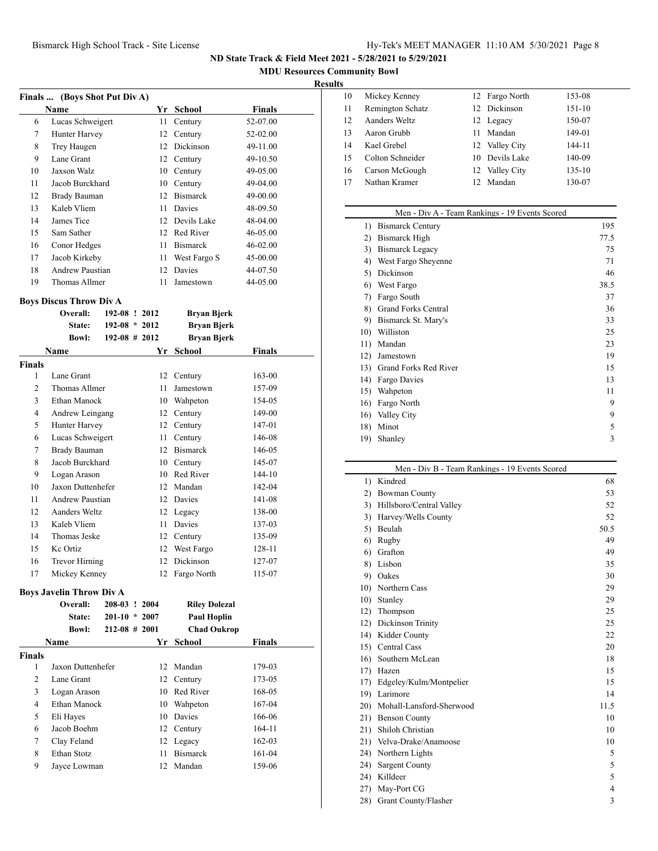**MDU Resources Community Bowl**

#### **Results**

|    | Name                | Yr ' | School          | <b>Finals</b> |
|----|---------------------|------|-----------------|---------------|
| 6  | Lucas Schweigert    | 11   | Century         | 52-07.00      |
| 7  | Hunter Harvey       | 12   | Century         | 52-02.00      |
| 8  | Trey Haugen         | 12   | Dickinson       | 49-11.00      |
| 9  | Lane Grant          |      | 12 Century      | 49-10.50      |
| 10 | Jaxson Walz         | 10   | Century         | 49-05.00      |
| 11 | Jacob Burckhard     | 10   | Century         | 49-04.00      |
| 12 | <b>Brady Bauman</b> | 12   | <b>Bismarck</b> | 49-00.00      |
| 13 | Kaleb Vliem         | 11   | Davies          | 48-09.50      |
| 14 | James Tice          | 12   | Devils Lake     | 48-04.00      |
| 15 | Sam Sather          | 12   | Red River       | 46-05.00      |
| 16 | Conor Hedges        | 11   | <b>Bismarck</b> | $46 - 02.00$  |
| 17 | Jacob Kirkeby       | 11   | West Fargo S    | 45-00.00      |
| 18 | Andrew Paustian     | 12   | Davies          | 44-07.50      |
| 19 | Thomas Allmer       | 11   | Jamestown       | 44-05.00      |

#### **Boys Discus Throw Div A**

| <b>BOVS DISCUS THROW DIV A</b> |                     |                 |    |                    |               |  |  |  |
|--------------------------------|---------------------|-----------------|----|--------------------|---------------|--|--|--|
|                                | Overall:            | 192-08 ! 2012   |    | <b>Bryan Bjerk</b> |               |  |  |  |
|                                | State:              | $192-08 * 2012$ |    | <b>Bryan Bjerk</b> |               |  |  |  |
|                                | <b>Bowl:</b>        | $192-08$ # 2012 |    | Bryan Bjerk        |               |  |  |  |
|                                | Name                |                 | Yr | School             | <b>Finals</b> |  |  |  |
| <b>Finals</b>                  |                     |                 |    |                    |               |  |  |  |
| 1                              | Lane Grant          |                 |    | 12 Century         | 163-00        |  |  |  |
| 2                              | Thomas Allmer       |                 | 11 | Jamestown          | 157-09        |  |  |  |
| 3                              | Ethan Manock        |                 | 10 | Wahpeton           | 154-05        |  |  |  |
| 4                              | Andrew Leingang     |                 | 12 | Century            | 149-00        |  |  |  |
| 5                              | Hunter Harvey       |                 |    | 12 Century         | 147-01        |  |  |  |
| 6                              | Lucas Schweigert    |                 | 11 | Century            | 146-08        |  |  |  |
| 7                              | <b>Brady Bauman</b> |                 | 12 | <b>Bismarck</b>    | 146-05        |  |  |  |
| 8                              | Jacob Burckhard     |                 | 10 | Century            | 145-07        |  |  |  |
| 9                              | Logan Arason        |                 | 10 | Red River          | 144-10        |  |  |  |
| 10                             | Jaxon Duttenhefer   |                 |    | 12 Mandan          | 142-04        |  |  |  |

| 11 | <b>Andrew Paustian</b> | 12 Davies      | 141-08 |
|----|------------------------|----------------|--------|
| 12 | Aanders Weltz          | 12 Legacy      | 138-00 |
| 13 | Kaleb Vliem            | 11 Davies      | 137-03 |
| 14 | Thomas Jeske           | 12 Century     | 135-09 |
| 15 | Kc Ortiz               | 12 West Fargo  | 128-11 |
| 16 | Trevor Hirning         | 12 Dickinson   | 127-07 |
| 17 | Mickey Kenney          | 12 Fargo North | 115-07 |

# **Boys Javelin Throw Div A**

|        | Overall:          | 208-03 ! 2004     | <b>Riley Dolezal</b> |               |
|--------|-------------------|-------------------|----------------------|---------------|
|        | State:            | $201-10 * 2007$   | <b>Paul Hoplin</b>   |               |
|        | <b>Bowl:</b>      | $212 - 08$ # 2001 | <b>Chad Oukrop</b>   |               |
|        | <b>Name</b>       |                   | Yr School            | <b>Finals</b> |
| Finals |                   |                   |                      |               |
| 1      | Jaxon Duttenhefer | $12-12$           | Mandan               | 179-03        |
| 2      | Lane Grant        |                   | 12 Century           | 173-05        |
| 3      | Logan Arason      | 10.               | Red River            | 168-05        |
| 4      | Ethan Manock      | 10                | Wahpeton             | 167-04        |
| 5      | Eli Hayes         | 10.               | Davies               | 166-06        |
| 6      | Jacob Boehm       |                   | 12 Century           | 164-11        |
| 7      | Clay Feland       |                   | 12 Legacy            | 162-03        |
| 8      | Ethan Stotz       | 11                | <b>Bismarck</b>      | 161-04        |
| 9      | Jayce Lowman      | 12                | Mandan               | 159-06        |
|        |                   |                   |                      |               |

| 10 | Mickey Kenney    | 12 Fargo North | 153-08 |
|----|------------------|----------------|--------|
| 11 | Remington Schatz | 12 Dickinson   | 151-10 |
| 12 | Aanders Weltz    | 12 Legacy      | 150-07 |
| 13 | Aaron Grubb      | Mandan<br>11   | 149-01 |
| 14 | Kael Grebel      | 12 Valley City | 144-11 |
| 15 | Colton Schneider | 10 Devils Lake | 140-09 |
| 16 | Carson McGough   | 12 Valley City | 135-10 |
| 17 | Nathan Kramer    | Mandan         | 130-07 |

|     | Men - Div A - Team Rankings - 19 Events Scored |      |
|-----|------------------------------------------------|------|
| 1)  | <b>Bismarck Century</b>                        | 195  |
| 2)  | <b>Bismarck High</b>                           | 77.5 |
| 3)  | <b>Bismarck Legacy</b>                         | 75   |
| 4)  | West Fargo Sheyenne                            | 71   |
| 5)  | Dickinson                                      | 46   |
| 6)  | West Fargo                                     | 38.5 |
| 7)  | Fargo South                                    | 37   |
| 8)  | <b>Grand Forks Central</b>                     | 36   |
| 9)  | Bismarck St. Mary's                            | 33   |
| 10) | Williston                                      | 25   |
| 11) | Mandan                                         | 23   |
| 12) | Jamestown                                      | 19   |
| 13) | Grand Forks Red River                          | 15   |
| 14) | Fargo Davies                                   | 13   |
| 15) | Wahpeton                                       | 11   |
| 16) | Fargo North                                    | 9    |
| 16) | Valley City                                    | 9    |
| 18) | Minot                                          | 5    |
| 19) | Shanley                                        | 3    |
|     |                                                |      |

#### Men - Div B - Team Rankings - 19 Events Scored

|              | Men - DIV B - Team Rankings - 19 Events Scored |                |
|--------------|------------------------------------------------|----------------|
| $\mathbf{D}$ | Kindred                                        | 68             |
| 2)           | <b>Bowman County</b>                           | 53             |
|              | 3) Hillsboro/Central Valley                    | 52             |
| 3)           | Harvey/Wells County                            | 52             |
| 5)           | Beulah                                         | 50.5           |
| 6)           | Rugby                                          | 49             |
| 6)           | Grafton                                        | 49             |
| 8)           | Lisbon                                         | 35             |
|              | 9) Oakes                                       | 30             |
| 10)          | Northern Cass                                  | 29             |
|              | 10) Stanley                                    | 29             |
|              | 12) Thompson                                   | 25             |
| 12)          | Dickinson Trinity                              | 25             |
|              | 14) Kidder County                              | 22             |
|              | 15) Central Cass                               | 20             |
|              | 16) Southern McLean                            | 18             |
| 17)          | Hazen                                          | 15             |
| 17)          | Edgeley/Kulm/Montpelier                        | 15             |
|              | 19) Larimore                                   | 14             |
| 20)          | Mohall-Lansford-Sherwood                       | 11.5           |
|              | 21) Benson County                              | 10             |
|              | 21) Shiloh Christian                           | 10             |
| 21)          | Velva-Drake/Anamoose                           | 10             |
|              | 24) Northern Lights                            | 5              |
| 24)          | <b>Sargent County</b>                          | 5              |
| 24)          | Killdeer                                       | 5              |
| 27)          | May-Port CG                                    | $\overline{4}$ |
| 28)          | Grant County/Flasher                           | 3              |
|              |                                                |                |